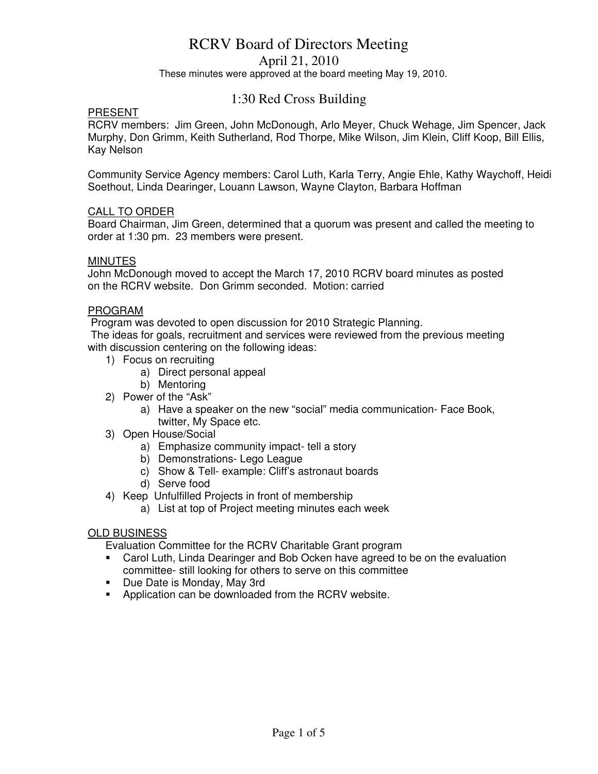April 21, 2010

These minutes were approved at the board meeting May 19, 2010.

# 1:30 Red Cross Building

# PRESENT

RCRV members: Jim Green, John McDonough, Arlo Meyer, Chuck Wehage, Jim Spencer, Jack Murphy, Don Grimm, Keith Sutherland, Rod Thorpe, Mike Wilson, Jim Klein, Cliff Koop, Bill Ellis, Kay Nelson

Community Service Agency members: Carol Luth, Karla Terry, Angie Ehle, Kathy Waychoff, Heidi Soethout, Linda Dearinger, Louann Lawson, Wayne Clayton, Barbara Hoffman

# CALL TO ORDER

Board Chairman, Jim Green, determined that a quorum was present and called the meeting to order at 1:30 pm. 23 members were present.

# **MINUTES**

John McDonough moved to accept the March 17, 2010 RCRV board minutes as posted on the RCRV website. Don Grimm seconded. Motion: carried

# PROGRAM

Program was devoted to open discussion for 2010 Strategic Planning.

 The ideas for goals, recruitment and services were reviewed from the previous meeting with discussion centering on the following ideas:

- 1) Focus on recruiting
	- a) Direct personal appeal
	- b) Mentoring
- 2) Power of the "Ask"
	- a) Have a speaker on the new "social" media communication- Face Book, twitter, My Space etc.
- 3) Open House/Social
	- a) Emphasize community impact- tell a story
	- b) Demonstrations- Lego League
	- c) Show & Tell- example: Cliff's astronaut boards
	- d) Serve food
- 4) Keep Unfulfilled Projects in front of membership
	- a) List at top of Project meeting minutes each week

# OLD BUSINESS

Evaluation Committee for the RCRV Charitable Grant program

- Carol Luth, Linda Dearinger and Bob Ocken have agreed to be on the evaluation committee- still looking for others to serve on this committee
- Due Date is Monday, May 3rd
- **-** Application can be downloaded from the RCRV website.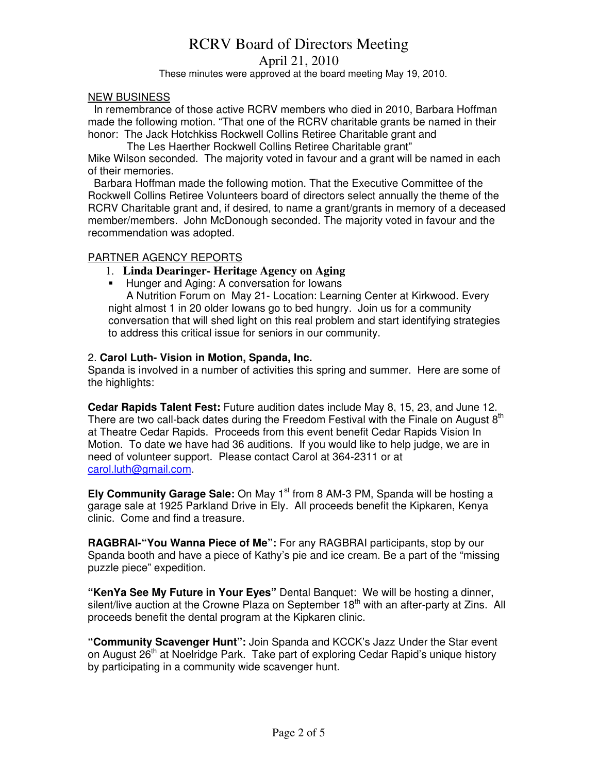April 21, 2010

These minutes were approved at the board meeting May 19, 2010.

#### NEW BUSINESS

 In remembrance of those active RCRV members who died in 2010, Barbara Hoffman made the following motion. "That one of the RCRV charitable grants be named in their honor: The Jack Hotchkiss Rockwell Collins Retiree Charitable grant and

 The Les Haerther Rockwell Collins Retiree Charitable grant" Mike Wilson seconded. The majority voted in favour and a grant will be named in each of their memories.

 Barbara Hoffman made the following motion. That the Executive Committee of the Rockwell Collins Retiree Volunteers board of directors select annually the theme of the RCRV Charitable grant and, if desired, to name a grant/grants in memory of a deceased member/members. John McDonough seconded. The majority voted in favour and the recommendation was adopted.

#### PARTNER AGENCY REPORTS

- 1. **Linda Dearinger- Heritage Agency on Aging**
- **Hunger and Aging: A conversation for Iowans**

 A Nutrition Forum on May 21- Location: Learning Center at Kirkwood. Every night almost 1 in 20 older Iowans go to bed hungry. Join us for a community conversation that will shed light on this real problem and start identifying strategies to address this critical issue for seniors in our community.

# 2. **Carol Luth- Vision in Motion, Spanda, Inc.**

Spanda is involved in a number of activities this spring and summer. Here are some of the highlights:

**Cedar Rapids Talent Fest:** Future audition dates include May 8, 15, 23, and June 12. There are two call-back dates during the Freedom Festival with the Finale on August  $8<sup>th</sup>$ at Theatre Cedar Rapids. Proceeds from this event benefit Cedar Rapids Vision In Motion. To date we have had 36 auditions. If you would like to help judge, we are in need of volunteer support. Please contact Carol at 364-2311 or at carol.luth@gmail.com.

**Ely Community Garage Sale:** On May 1<sup>st</sup> from 8 AM-3 PM, Spanda will be hosting a garage sale at 1925 Parkland Drive in Ely. All proceeds benefit the Kipkaren, Kenya clinic. Come and find a treasure.

**RAGBRAI-"You Wanna Piece of Me":** For any RAGBRAI participants, stop by our Spanda booth and have a piece of Kathy's pie and ice cream. Be a part of the "missing puzzle piece" expedition.

**"KenYa See My Future in Your Eyes"** Dental Banquet: We will be hosting a dinner, silent/live auction at the Crowne Plaza on September  $18<sup>th</sup>$  with an after-party at Zins. All proceeds benefit the dental program at the Kipkaren clinic.

**"Community Scavenger Hunt":** Join Spanda and KCCK's Jazz Under the Star event on August 26<sup>th</sup> at Noelridge Park. Take part of exploring Cedar Rapid's unique history by participating in a community wide scavenger hunt.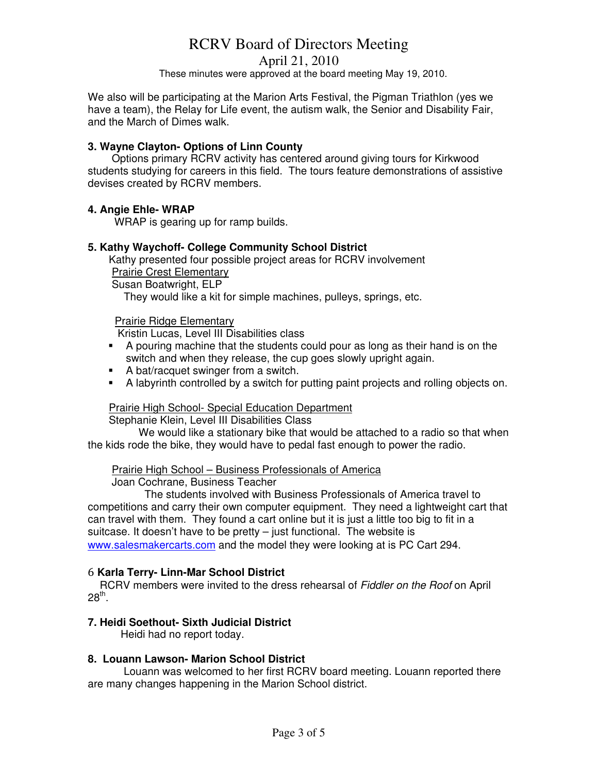April 21, 2010

These minutes were approved at the board meeting May 19, 2010.

We also will be participating at the Marion Arts Festival, the Pigman Triathlon (yes we have a team), the Relay for Life event, the autism walk, the Senior and Disability Fair, and the March of Dimes walk.

# **3. Wayne Clayton- Options of Linn County**

 Options primary RCRV activity has centered around giving tours for Kirkwood students studying for careers in this field. The tours feature demonstrations of assistive devises created by RCRV members.

# **4. Angie Ehle- WRAP**

WRAP is gearing up for ramp builds.

# **5. Kathy Waychoff- College Community School District**

Kathy presented four possible project areas for RCRV involvement Prairie Crest Elementary

Susan Boatwright, ELP

They would like a kit for simple machines, pulleys, springs, etc.

# Prairie Ridge Elementary

Kristin Lucas, Level III Disabilities class

- A pouring machine that the students could pour as long as their hand is on the switch and when they release, the cup goes slowly upright again.
- A bat/racquet swinger from a switch.
- A labyrinth controlled by a switch for putting paint projects and rolling objects on.

# Prairie High School- Special Education Department

Stephanie Klein, Level III Disabilities Class

 We would like a stationary bike that would be attached to a radio so that when the kids rode the bike, they would have to pedal fast enough to power the radio.

#### Prairie High School – Business Professionals of America

Joan Cochrane, Business Teacher

 The students involved with Business Professionals of America travel to competitions and carry their own computer equipment. They need a lightweight cart that can travel with them. They found a cart online but it is just a little too big to fit in a suitcase. It doesn't have to be pretty – just functional. The website is www.salesmakercarts.com and the model they were looking at is PC Cart 294.

#### 6 **Karla Terry- Linn-Mar School District**

RCRV members were invited to the dress rehearsal of Fiddler on the Roof on April  $28^\mathrm{th}$ .

#### **7. Heidi Soethout- Sixth Judicial District**

Heidi had no report today.

#### **8. Louann Lawson- Marion School District**

Louann was welcomed to her first RCRV board meeting. Louann reported there are many changes happening in the Marion School district.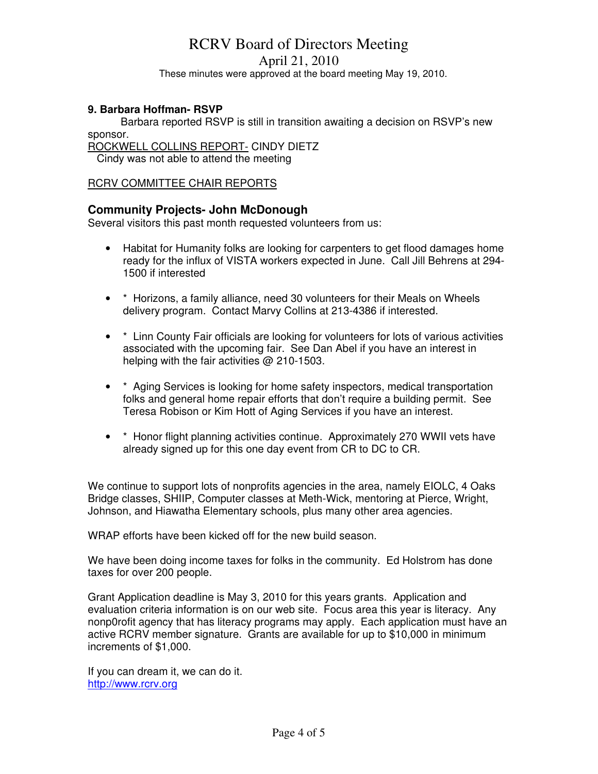April 21, 2010

These minutes were approved at the board meeting May 19, 2010.

# **9. Barbara Hoffman- RSVP**

 Barbara reported RSVP is still in transition awaiting a decision on RSVP's new sponsor.

ROCKWELL COLLINS REPORT- CINDY DIETZ

Cindy was not able to attend the meeting

#### RCRV COMMITTEE CHAIR REPORTS

# **Community Projects- John McDonough**

Several visitors this past month requested volunteers from us:

- Habitat for Humanity folks are looking for carpenters to get flood damages home ready for the influx of VISTA workers expected in June. Call Jill Behrens at 294- 1500 if interested
- \* Horizons, a family alliance, need 30 volunteers for their Meals on Wheels delivery program. Contact Marvy Collins at 213-4386 if interested.
- \* Linn County Fair officials are looking for volunteers for lots of various activities associated with the upcoming fair. See Dan Abel if you have an interest in helping with the fair activities @ 210-1503.
- \* Aging Services is looking for home safety inspectors, medical transportation folks and general home repair efforts that don't require a building permit. See Teresa Robison or Kim Hott of Aging Services if you have an interest.
- \* Honor flight planning activities continue. Approximately 270 WWII vets have already signed up for this one day event from CR to DC to CR.

We continue to support lots of nonprofits agencies in the area, namely EIOLC, 4 Oaks Bridge classes, SHIIP, Computer classes at Meth-Wick, mentoring at Pierce, Wright, Johnson, and Hiawatha Elementary schools, plus many other area agencies.

WRAP efforts have been kicked off for the new build season.

We have been doing income taxes for folks in the community. Ed Holstrom has done taxes for over 200 people.

Grant Application deadline is May 3, 2010 for this years grants. Application and evaluation criteria information is on our web site. Focus area this year is literacy. Any nonp0rofit agency that has literacy programs may apply. Each application must have an active RCRV member signature. Grants are available for up to \$10,000 in minimum increments of \$1,000.

If you can dream it, we can do it. http://www.rcrv.org